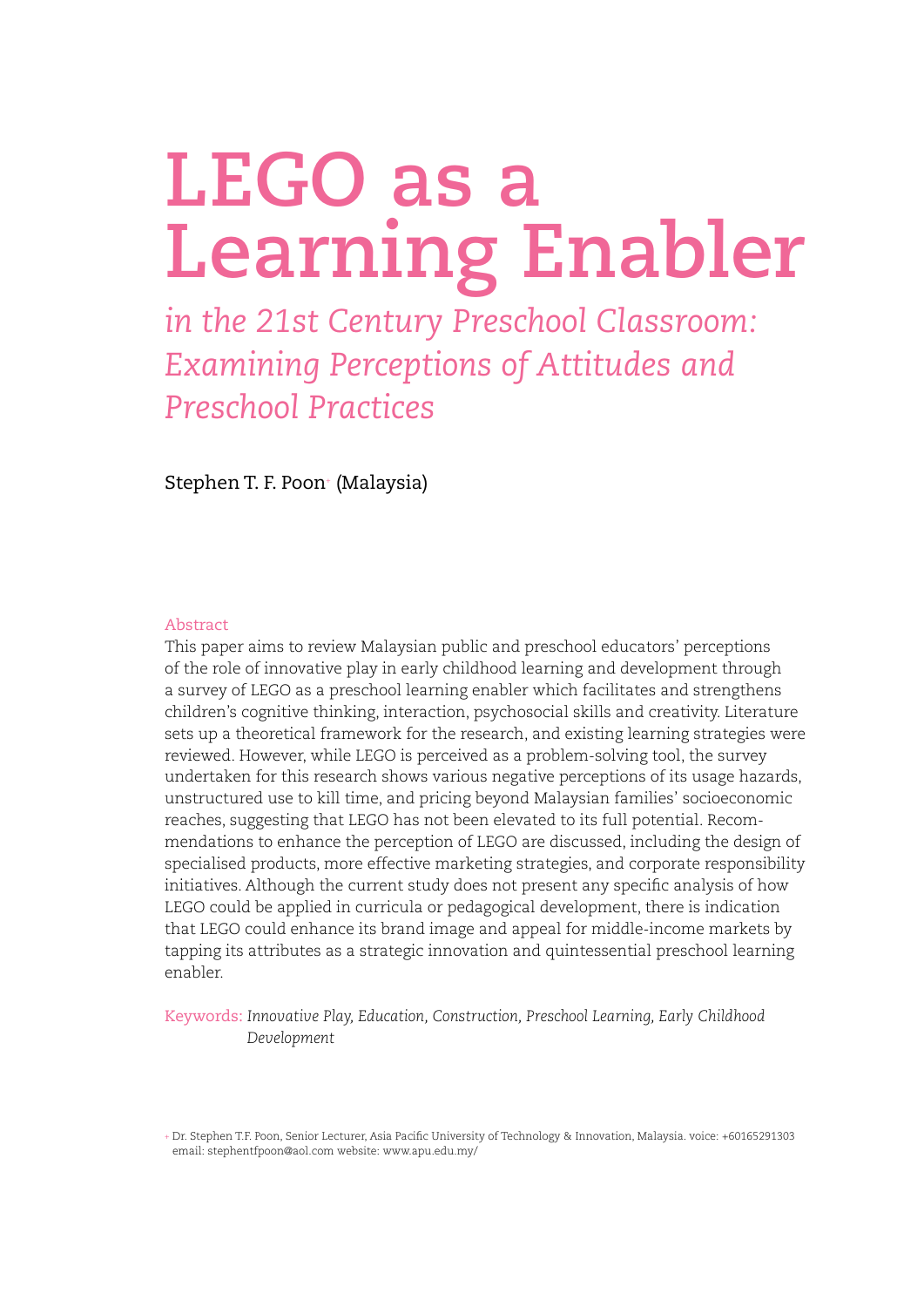# **LEGO as a Learning Enabler**

*in the 21st Century Preschool Classroom: Examining Perceptions of Attitudes and Preschool Practices*

Stephen T. F. Poon+ (Malaysia)

# Abstract

This paper aims to review Malaysian public and preschool educators' perceptions of the role of innovative play in early childhood learning and development through a survey of LEGO as a preschool learning enabler which facilitates and strengthens children's cognitive thinking, interaction, psychosocial skills and creativity. Literature sets up a theoretical framework for the research, and existing learning strategies were reviewed. However, while LEGO is perceived as a problem-solving tool, the survey undertaken for this research shows various negative perceptions of its usage hazards, unstructured use to kill time, and pricing beyond Malaysian families' socioeconomic reaches, suggesting that LEGO has not been elevated to its full potential. Recommendations to enhance the perception of LEGO are discussed, including the design of specialised products, more effective marketing strategies, and corporate responsibility initiatives. Although the current study does not present any specific analysis of how LEGO could be applied in curricula or pedagogical development, there is indication that LEGO could enhance its brand image and appeal for middle-income markets by tapping its attributes as a strategic innovation and quintessential preschool learning enabler.

Keywords: *Innovative Play, Education, Construction, Preschool Learning, Early Childhood Development*

<sup>+</sup> Dr. Stephen T.F. Poon, Senior Lecturer, Asia Pacific University of Technology & Innovation, Malaysia. voice: +60165291303 email: stephentfpoon@aol.com website: www.apu.edu.my/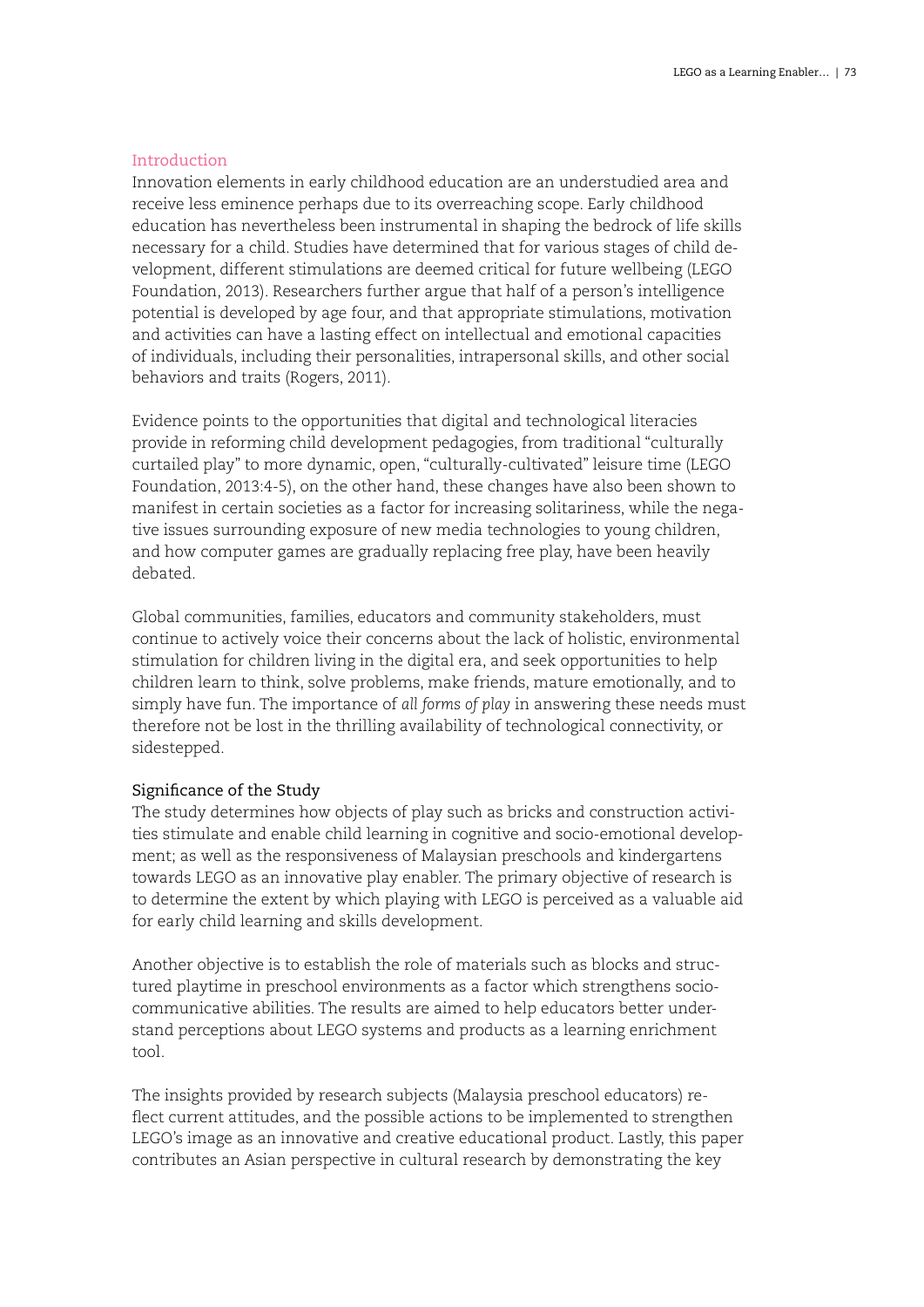# Introduction

Innovation elements in early childhood education are an understudied area and receive less eminence perhaps due to its overreaching scope. Early childhood education has nevertheless been instrumental in shaping the bedrock of life skills necessary for a child. Studies have determined that for various stages of child development, different stimulations are deemed critical for future wellbeing (LEGO Foundation, 2013). Researchers further argue that half of a person's intelligence potential is developed by age four, and that appropriate stimulations, motivation and activities can have a lasting effect on intellectual and emotional capacities of individuals, including their personalities, intrapersonal skills, and other social behaviors and traits (Rogers, 2011).

Evidence points to the opportunities that digital and technological literacies provide in reforming child development pedagogies, from traditional "culturally curtailed play" to more dynamic, open, "culturally-cultivated" leisure time (LEGO Foundation, 2013:4-5), on the other hand, these changes have also been shown to manifest in certain societies as a factor for increasing solitariness, while the negative issues surrounding exposure of new media technologies to young children, and how computer games are gradually replacing free play, have been heavily debated.

Global communities, families, educators and community stakeholders, must continue to actively voice their concerns about the lack of holistic, environmental stimulation for children living in the digital era, and seek opportunities to help children learn to think, solve problems, make friends, mature emotionally, and to simply have fun. The importance of *all forms of play* in answering these needs must therefore not be lost in the thrilling availability of technological connectivity, or sidestepped.

# Significance of the Study

The study determines how objects of play such as bricks and construction activities stimulate and enable child learning in cognitive and socio-emotional development; as well as the responsiveness of Malaysian preschools and kindergartens towards LEGO as an innovative play enabler. The primary objective of research is to determine the extent by which playing with LEGO is perceived as a valuable aid for early child learning and skills development.

Another objective is to establish the role of materials such as blocks and structured playtime in preschool environments as a factor which strengthens sociocommunicative abilities. The results are aimed to help educators better understand perceptions about LEGO systems and products as a learning enrichment tool.

The insights provided by research subjects (Malaysia preschool educators) reflect current attitudes, and the possible actions to be implemented to strengthen LEGO's image as an innovative and creative educational product. Lastly, this paper contributes an Asian perspective in cultural research by demonstrating the key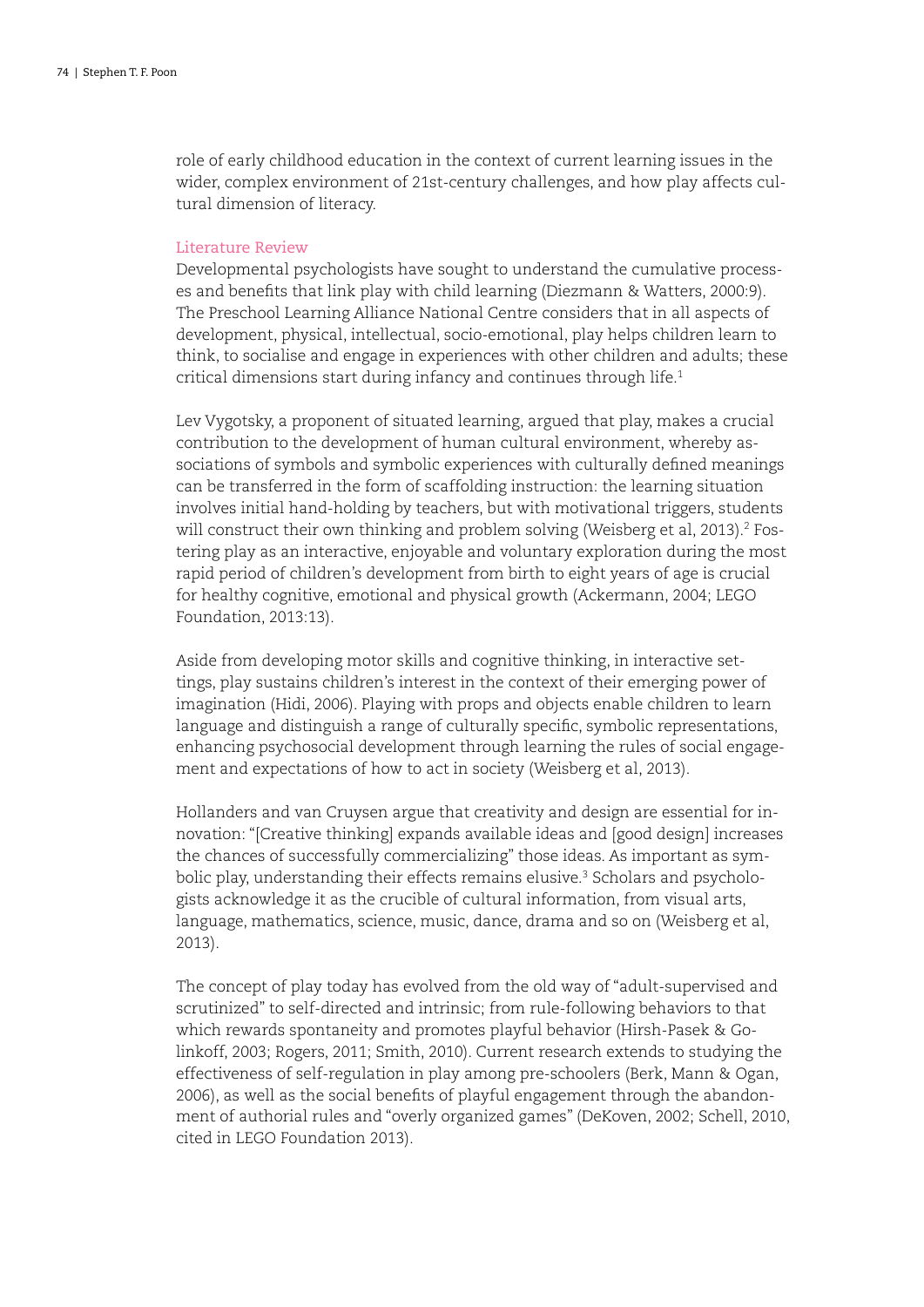role of early childhood education in the context of current learning issues in the wider, complex environment of 21st-century challenges, and how play affects cultural dimension of literacy.

# Literature Review

Developmental psychologists have sought to understand the cumulative processes and benefits that link play with child learning (Diezmann & Watters, 2000:9). The Preschool Learning Alliance National Centre considers that in all aspects of development, physical, intellectual, socio-emotional, play helps children learn to think, to socialise and engage in experiences with other children and adults; these critical dimensions start during infancy and continues through life.<sup>1</sup>

Lev Vygotsky, a proponent of situated learning, argued that play, makes a crucial contribution to the development of human cultural environment, whereby associations of symbols and symbolic experiences with culturally defined meanings can be transferred in the form of scaffolding instruction: the learning situation involves initial hand-holding by teachers, but with motivational triggers, students will construct their own thinking and problem solving (Weisberg et al, 2013).<sup>2</sup> Fostering play as an interactive, enjoyable and voluntary exploration during the most rapid period of children's development from birth to eight years of age is crucial for healthy cognitive, emotional and physical growth (Ackermann, 2004; LEGO Foundation, 2013:13).

Aside from developing motor skills and cognitive thinking, in interactive settings, play sustains children's interest in the context of their emerging power of imagination (Hidi, 2006). Playing with props and objects enable children to learn language and distinguish a range of culturally specific, symbolic representations, enhancing psychosocial development through learning the rules of social engagement and expectations of how to act in society (Weisberg et al, 2013).

Hollanders and van Cruysen argue that creativity and design are essential for innovation: "[Creative thinking] expands available ideas and [good design] increases the chances of successfully commercializing" those ideas. As important as symbolic play, understanding their effects remains elusive.<sup>3</sup> Scholars and psychologists acknowledge it as the crucible of cultural information, from visual arts, language, mathematics, science, music, dance, drama and so on (Weisberg et al, 2013).

The concept of play today has evolved from the old way of "adult-supervised and scrutinized" to self-directed and intrinsic; from rule-following behaviors to that which rewards spontaneity and promotes playful behavior (Hirsh-Pasek & Golinkoff, 2003; Rogers, 2011; Smith, 2010). Current research extends to studying the effectiveness of self-regulation in play among pre-schoolers (Berk, Mann & Ogan, 2006), as well as the social benefits of playful engagement through the abandonment of authorial rules and "overly organized games" (DeKoven, 2002; Schell, 2010, cited in LEGO Foundation 2013).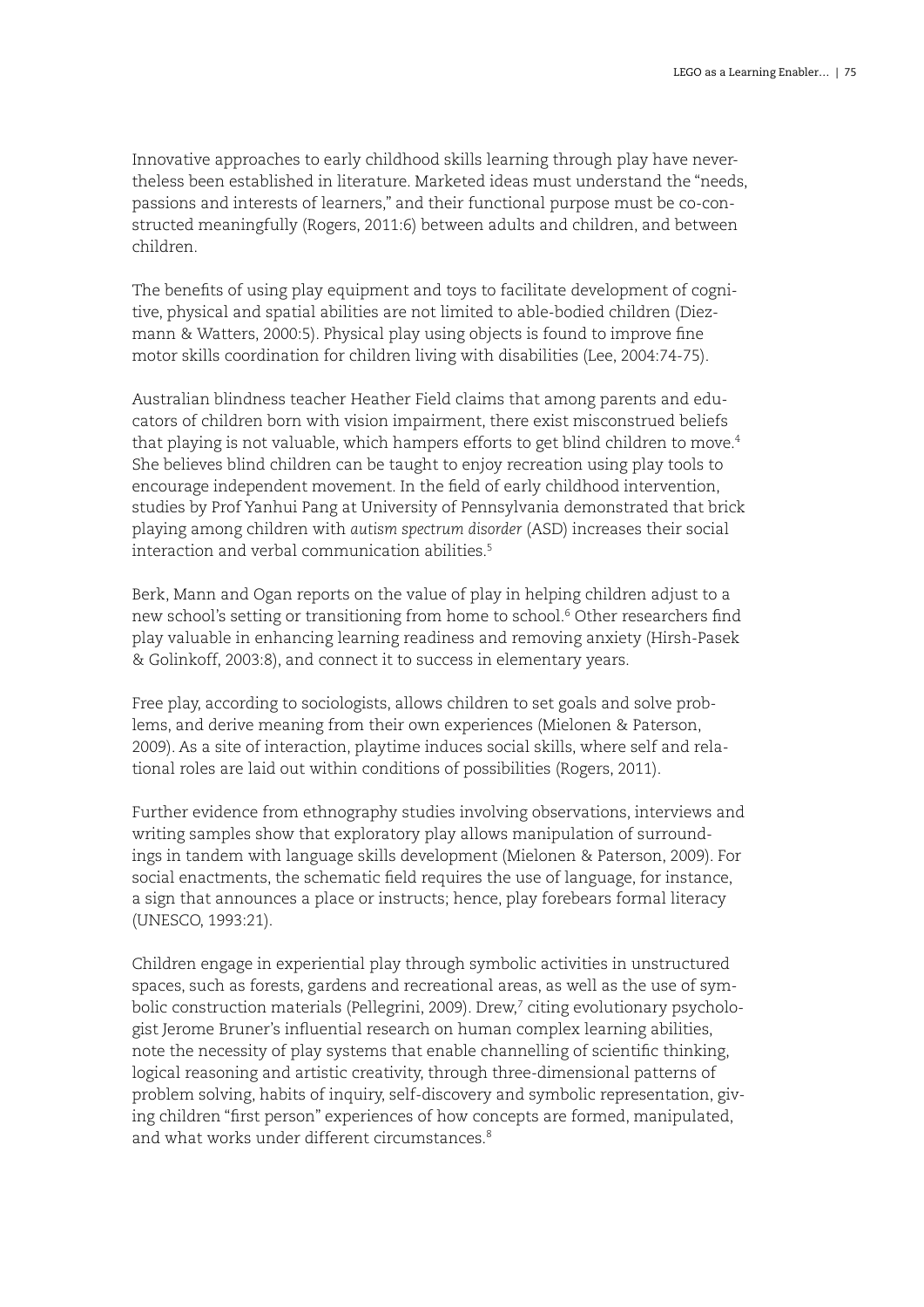Innovative approaches to early childhood skills learning through play have nevertheless been established in literature. Marketed ideas must understand the "needs, passions and interests of learners," and their functional purpose must be co-constructed meaningfully (Rogers, 2011:6) between adults and children, and between children.

The benefits of using play equipment and toys to facilitate development of cognitive, physical and spatial abilities are not limited to able-bodied children (Diezmann & Watters, 2000:5). Physical play using objects is found to improve fine motor skills coordination for children living with disabilities (Lee, 2004:74-75).

Australian blindness teacher Heather Field claims that among parents and educators of children born with vision impairment, there exist misconstrued beliefs that playing is not valuable, which hampers efforts to get blind children to move.<sup>4</sup> She believes blind children can be taught to enjoy recreation using play tools to encourage independent movement. In the field of early childhood intervention, studies by Prof Yanhui Pang at University of Pennsylvania demonstrated that brick playing among children with *autism spectrum disorder* (ASD) increases their social interaction and verbal communication abilities  $5$ 

Berk, Mann and Ogan reports on the value of play in helping children adjust to a new school's setting or transitioning from home to school.<sup>6</sup> Other researchers find play valuable in enhancing learning readiness and removing anxiety (Hirsh-Pasek & Golinkoff, 2003:8), and connect it to success in elementary years.

Free play, according to sociologists, allows children to set goals and solve problems, and derive meaning from their own experiences (Mielonen & Paterson, 2009). As a site of interaction, playtime induces social skills, where self and relational roles are laid out within conditions of possibilities (Rogers, 2011).

Further evidence from ethnography studies involving observations, interviews and writing samples show that exploratory play allows manipulation of surroundings in tandem with language skills development (Mielonen & Paterson, 2009). For social enactments, the schematic field requires the use of language, for instance, a sign that announces a place or instructs; hence, play forebears formal literacy (UNESCO, 1993:21).

Children engage in experiential play through symbolic activities in unstructured spaces, such as forests, gardens and recreational areas, as well as the use of symbolic construction materials (Pellegrini, 2009). Drew,<sup>7</sup> citing evolutionary psychologist Jerome Bruner's influential research on human complex learning abilities, note the necessity of play systems that enable channelling of scientific thinking, logical reasoning and artistic creativity, through three-dimensional patterns of problem solving, habits of inquiry, self-discovery and symbolic representation, giving children "first person" experiences of how concepts are formed, manipulated, and what works under different circumstances<sup>8</sup>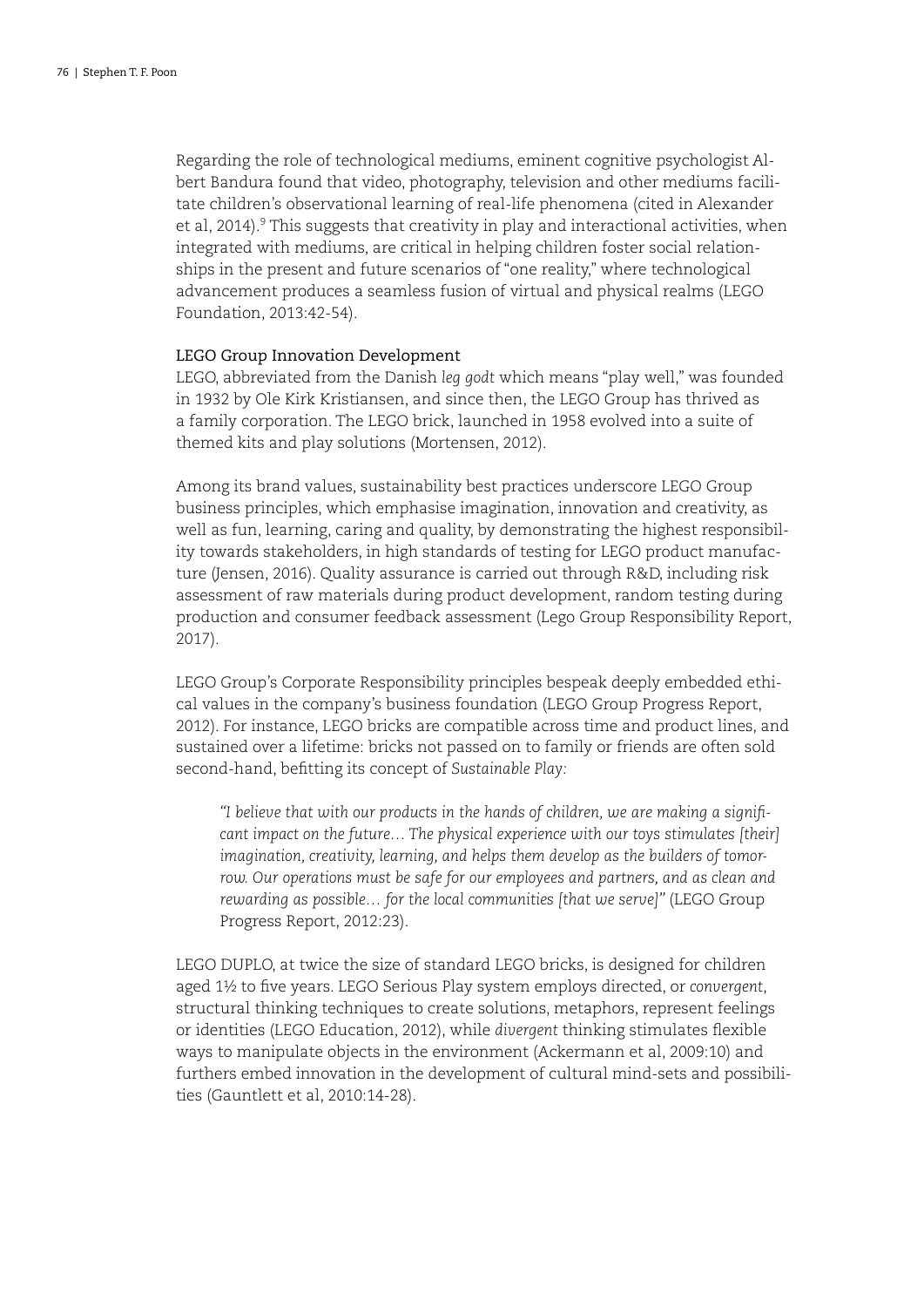Regarding the role of technological mediums, eminent cognitive psychologist Albert Bandura found that video, photography, television and other mediums facilitate children's observational learning of real-life phenomena (cited in Alexander et al, 2014).<sup>9</sup> This suggests that creativity in play and interactional activities, when integrated with mediums, are critical in helping children foster social relationships in the present and future scenarios of "one reality," where technological advancement produces a seamless fusion of virtual and physical realms (LEGO Foundation, 2013:42-54).

# LEGO Group Innovation Development

LEGO, abbreviated from the Danish *leg godt* which means "play well," was founded in 1932 by Ole Kirk Kristiansen, and since then, the LEGO Group has thrived as a family corporation. The LEGO brick, launched in 1958 evolved into a suite of themed kits and play solutions (Mortensen, 2012).

Among its brand values, sustainability best practices underscore LEGO Group business principles, which emphasise imagination, innovation and creativity, as well as fun, learning, caring and quality, by demonstrating the highest responsibility towards stakeholders, in high standards of testing for LEGO product manufacture (Jensen, 2016). Quality assurance is carried out through R&D, including risk assessment of raw materials during product development, random testing during production and consumer feedback assessment (Lego Group Responsibility Report, 2017).

LEGO Group's Corporate Responsibility principles bespeak deeply embedded ethical values in the company's business foundation (LEGO Group Progress Report, 2012). For instance, LEGO bricks are compatible across time and product lines, and sustained over a lifetime: bricks not passed on to family or friends are often sold second-hand, befitting its concept of *Sustainable Play:*

*"I believe that with our products in the hands of children, we are making a significant impact on the future... The physical experience with our toys stimulates [their] imagination, creativity, learning, and helps them develop as the builders of tomorrow. Our operations must be safe for our employees and partners, and as clean and rewarding as possible… for the local communities [that we serve]"* (LEGO Group Progress Report, 2012:23).

LEGO DUPLO, at twice the size of standard LEGO bricks, is designed for children aged 1½ to five years. LEGO Serious Play system employs directed, or *convergent*, structural thinking techniques to create solutions, metaphors, represent feelings or identities (LEGO Education, 2012), while *divergent* thinking stimulates flexible ways to manipulate objects in the environment (Ackermann et al, 2009:10) and furthers embed innovation in the development of cultural mind-sets and possibilities (Gauntlett et al, 2010:14-28).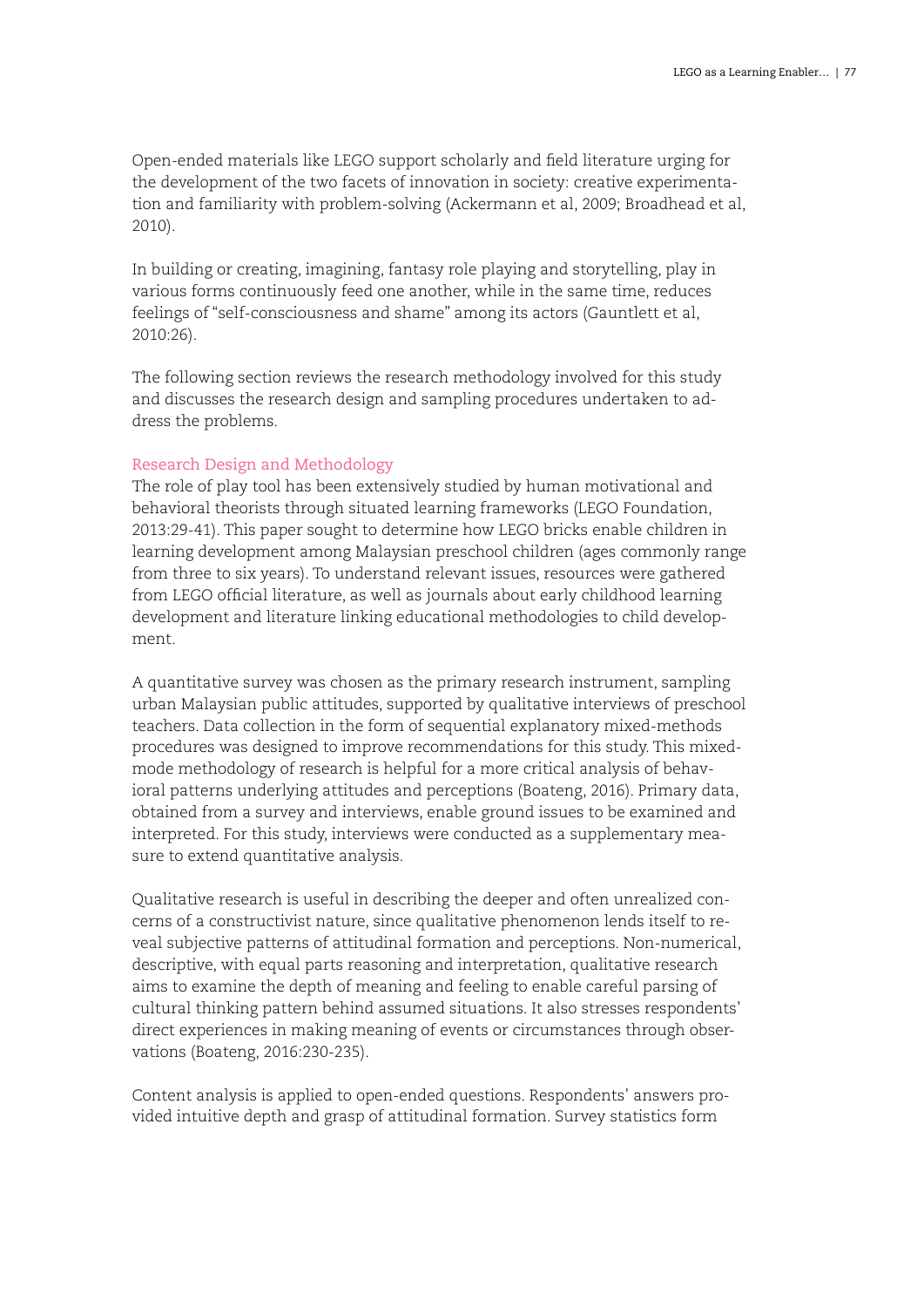Open-ended materials like LEGO support scholarly and field literature urging for the development of the two facets of innovation in society: creative experimentation and familiarity with problem-solving (Ackermann et al, 2009; Broadhead et al, 2010).

In building or creating, imagining, fantasy role playing and storytelling, play in various forms continuously feed one another, while in the same time, reduces feelings of "self-consciousness and shame" among its actors (Gauntlett et al, 2010:26).

The following section reviews the research methodology involved for this study and discusses the research design and sampling procedures undertaken to address the problems.

### Research Design and Methodology

The role of play tool has been extensively studied by human motivational and behavioral theorists through situated learning frameworks (LEGO Foundation, 2013:29-41). This paper sought to determine how LEGO bricks enable children in learning development among Malaysian preschool children (ages commonly range from three to six years). To understand relevant issues, resources were gathered from LEGO official literature, as well as journals about early childhood learning development and literature linking educational methodologies to child development.

A quantitative survey was chosen as the primary research instrument, sampling urban Malaysian public attitudes, supported by qualitative interviews of preschool teachers. Data collection in the form of sequential explanatory mixed-methods procedures was designed to improve recommendations for this study. This mixedmode methodology of research is helpful for a more critical analysis of behavioral patterns underlying attitudes and perceptions (Boateng, 2016). Primary data, obtained from a survey and interviews, enable ground issues to be examined and interpreted. For this study, interviews were conducted as a supplementary measure to extend quantitative analysis.

Qualitative research is useful in describing the deeper and often unrealized concerns of a constructivist nature, since qualitative phenomenon lends itself to reveal subjective patterns of attitudinal formation and perceptions. Non-numerical, descriptive, with equal parts reasoning and interpretation, qualitative research aims to examine the depth of meaning and feeling to enable careful parsing of cultural thinking pattern behind assumed situations. It also stresses respondents' direct experiences in making meaning of events or circumstances through observations (Boateng, 2016:230-235).

Content analysis is applied to open-ended questions. Respondents' answers provided intuitive depth and grasp of attitudinal formation. Survey statistics form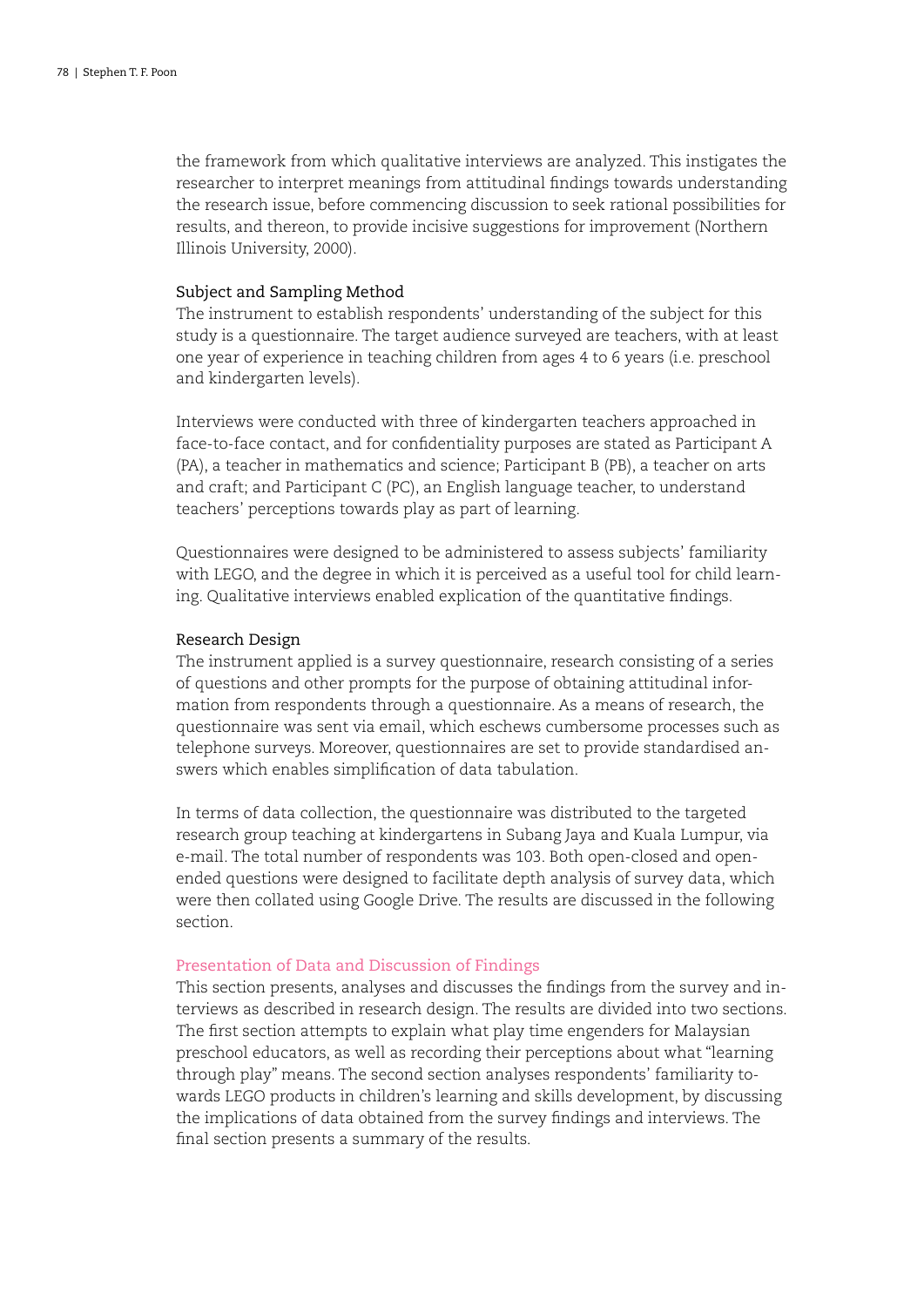the framework from which qualitative interviews are analyzed. This instigates the researcher to interpret meanings from attitudinal findings towards understanding the research issue, before commencing discussion to seek rational possibilities for results, and thereon, to provide incisive suggestions for improvement (Northern Illinois University, 2000).

### Subject and Sampling Method

The instrument to establish respondents' understanding of the subject for this study is a questionnaire. The target audience surveyed are teachers, with at least one year of experience in teaching children from ages 4 to 6 years (i.e. preschool and kindergarten levels).

Interviews were conducted with three of kindergarten teachers approached in face-to-face contact, and for confidentiality purposes are stated as Participant A (PA), a teacher in mathematics and science; Participant B (PB), a teacher on arts and craft; and Participant C (PC), an English language teacher, to understand teachers' perceptions towards play as part of learning.

Questionnaires were designed to be administered to assess subjects' familiarity with LEGO, and the degree in which it is perceived as a useful tool for child learning. Qualitative interviews enabled explication of the quantitative findings.

### Research Design

The instrument applied is a survey questionnaire, research consisting of a series of questions and other prompts for the purpose of obtaining attitudinal information from respondents through a questionnaire. As a means of research, the questionnaire was sent via email, which eschews cumbersome processes such as telephone surveys. Moreover, questionnaires are set to provide standardised answers which enables simplification of data tabulation.

In terms of data collection, the questionnaire was distributed to the targeted research group teaching at kindergartens in Subang Jaya and Kuala Lumpur, via e-mail. The total number of respondents was 103. Both open-closed and openended questions were designed to facilitate depth analysis of survey data, which were then collated using Google Drive. The results are discussed in the following section.

# Presentation of Data and Discussion of Findings

This section presents, analyses and discusses the findings from the survey and interviews as described in research design. The results are divided into two sections. The first section attempts to explain what play time engenders for Malaysian preschool educators, as well as recording their perceptions about what "learning through play" means. The second section analyses respondents' familiarity towards LEGO products in children's learning and skills development, by discussing the implications of data obtained from the survey findings and interviews. The final section presents a summary of the results.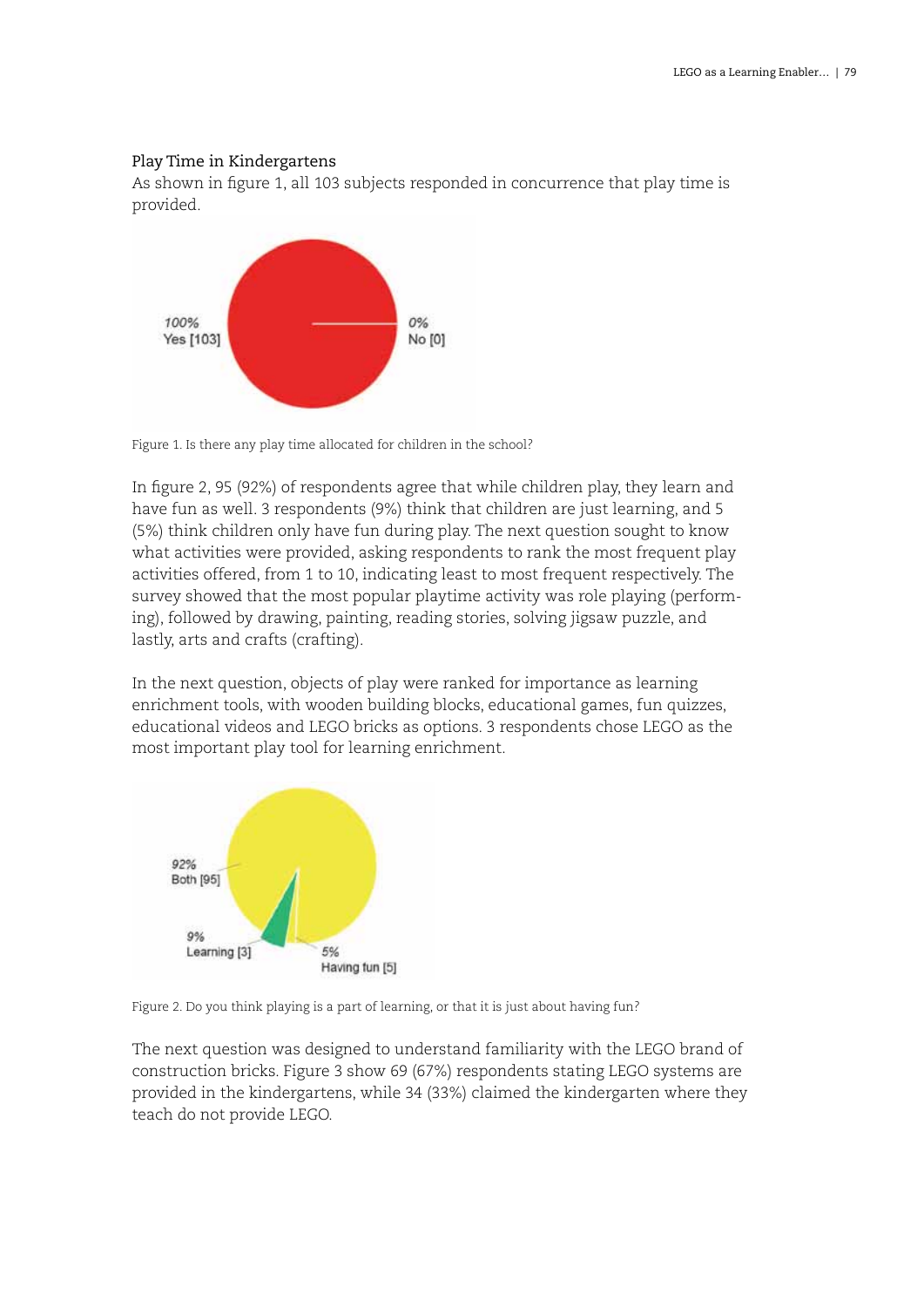# Play Time in Kindergartens

As shown in figure 1, all 103 subjects responded in concurrence that play time is provided.



Figure 1. Is there any play time allocated for children in the school?

In figure 2, 95 (92%) of respondents agree that while children play, they learn and have fun as well. 3 respondents (9%) think that children are just learning, and 5 (5%) think children only have fun during play. The next question sought to know what activities were provided, asking respondents to rank the most frequent play activities offered, from 1 to 10, indicating least to most frequent respectively. The survey showed that the most popular playtime activity was role playing (performing), followed by drawing, painting, reading stories, solving jigsaw puzzle, and lastly, arts and crafts (crafting).

In the next question, objects of play were ranked for importance as learning enrichment tools, with wooden building blocks, educational games, fun quizzes, educational videos and LEGO bricks as options. 3 respondents chose LEGO as the most important play tool for learning enrichment.



Figure 2. Do you think playing is a part of learning, or that it is just about having fun?

The next question was designed to understand familiarity with the LEGO brand of construction bricks. Figure 3 show 69 (67%) respondents stating LEGO systems are provided in the kindergartens, while 34 (33%) claimed the kindergarten where they teach do not provide LEGO.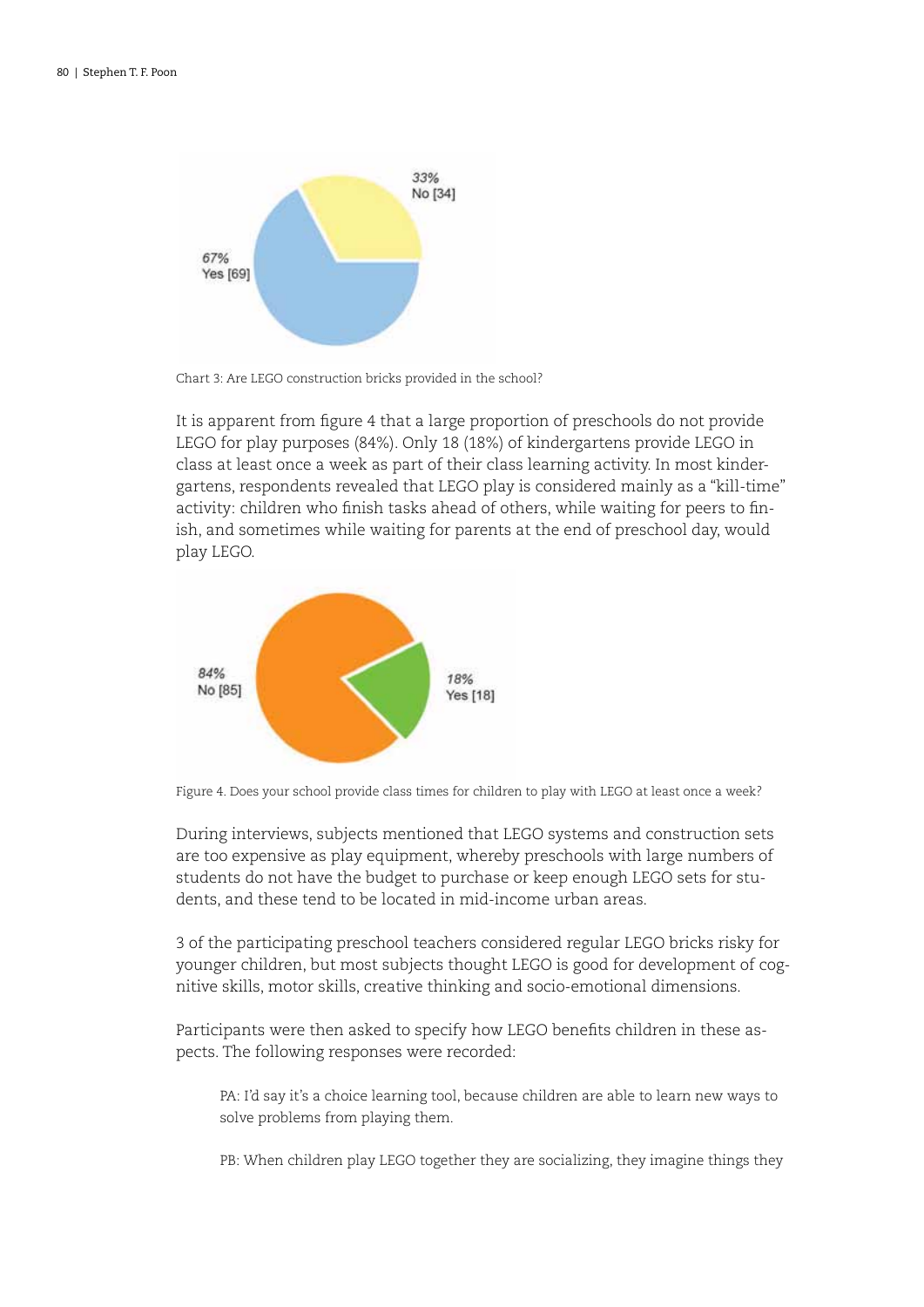

Chart 3: Are LEGO construction bricks provided in the school?

It is apparent from figure 4 that a large proportion of preschools do not provide LEGO for play purposes (84%). Only 18 (18%) of kindergartens provide LEGO in class at least once a week as part of their class learning activity. In most kindergartens, respondents revealed that LEGO play is considered mainly as a "kill-time" activity: children who finish tasks ahead of others, while waiting for peers to finish, and sometimes while waiting for parents at the end of preschool day, would play LEGO.



Figure 4. Does your school provide class times for children to play with LEGO at least once a week?

During interviews, subjects mentioned that LEGO systems and construction sets are too expensive as play equipment, whereby preschools with large numbers of students do not have the budget to purchase or keep enough LEGO sets for students, and these tend to be located in mid-income urban areas.

3 of the participating preschool teachers considered regular LEGO bricks risky for younger children, but most subjects thought LEGO is good for development of cognitive skills, motor skills, creative thinking and socio-emotional dimensions.

Participants were then asked to specify how LEGO benefits children in these aspects. The following responses were recorded:

PA: I'd say it's a choice learning tool, because children are able to learn new ways to solve problems from playing them.

PB: When children play LEGO together they are socializing, they imagine things they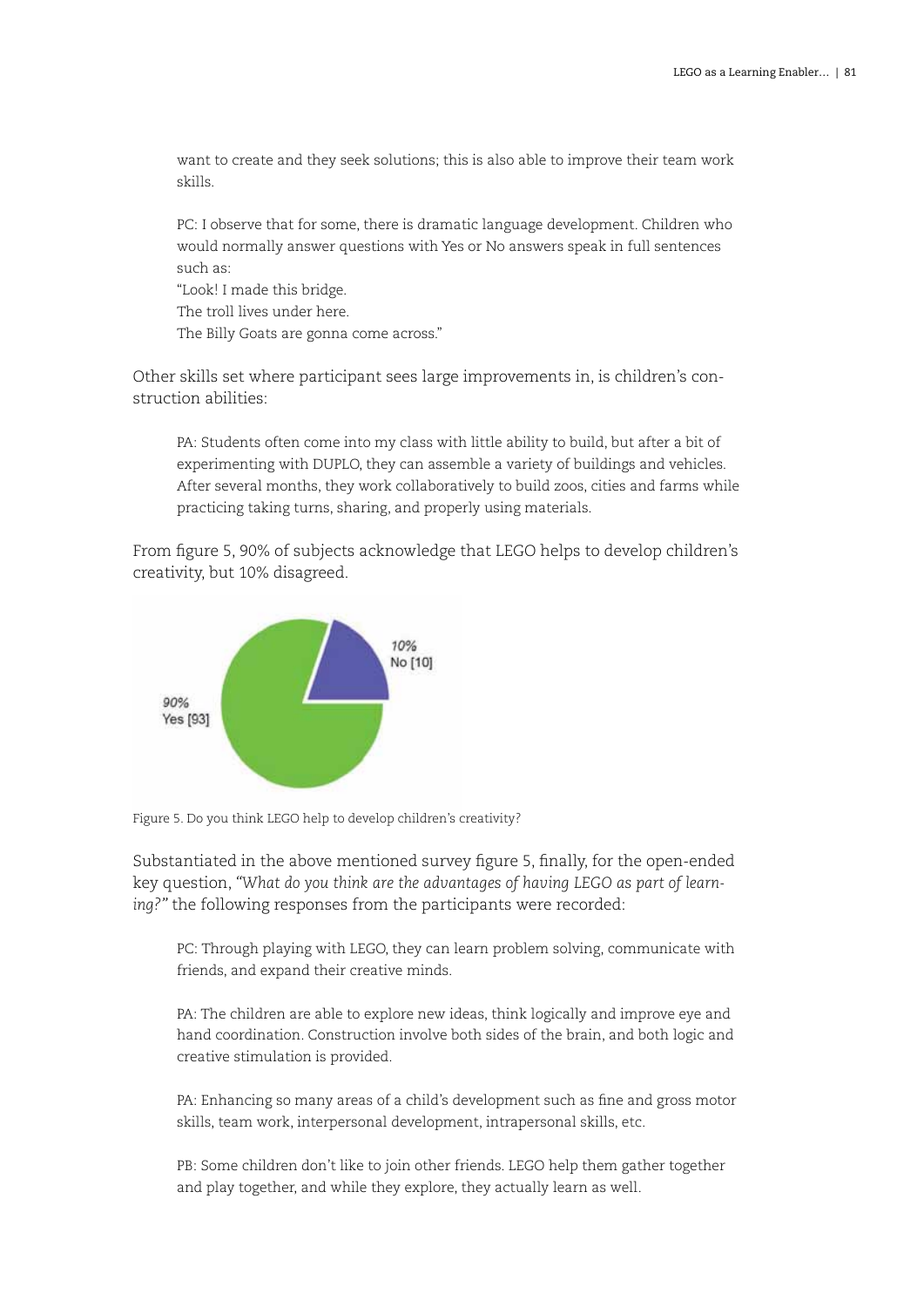want to create and they seek solutions; this is also able to improve their team work skills.

PC: I observe that for some, there is dramatic language development. Children who would normally answer questions with Yes or No answers speak in full sentences such as:

"Look! I made this bridge.

The troll lives under here.

The Billy Goats are gonna come across."

Other skills set where participant sees large improvements in, is children's construction abilities:

PA: Students often come into my class with little ability to build, but after a bit of experimenting with DUPLO, they can assemble a variety of buildings and vehicles. After several months, they work collaboratively to build zoos, cities and farms while practicing taking turns, sharing, and properly using materials.

From figure 5, 90% of subjects acknowledge that LEGO helps to develop children's creativity, but 10% disagreed.



Figure 5. Do you think LEGO help to develop children's creativity?

Substantiated in the above mentioned survey figure 5, finally, for the open-ended key question, *"What do you think are the advantages of having LEGO as part of learning?"* the following responses from the participants were recorded:

PC: Through playing with LEGO, they can learn problem solving, communicate with friends, and expand their creative minds.

PA: The children are able to explore new ideas, think logically and improve eye and hand coordination. Construction involve both sides of the brain, and both logic and creative stimulation is provided.

PA: Enhancing so many areas of a child's development such as fine and gross motor skills, team work, interpersonal development, intrapersonal skills, etc.

PB: Some children don't like to join other friends. LEGO help them gather together and play together, and while they explore, they actually learn as well.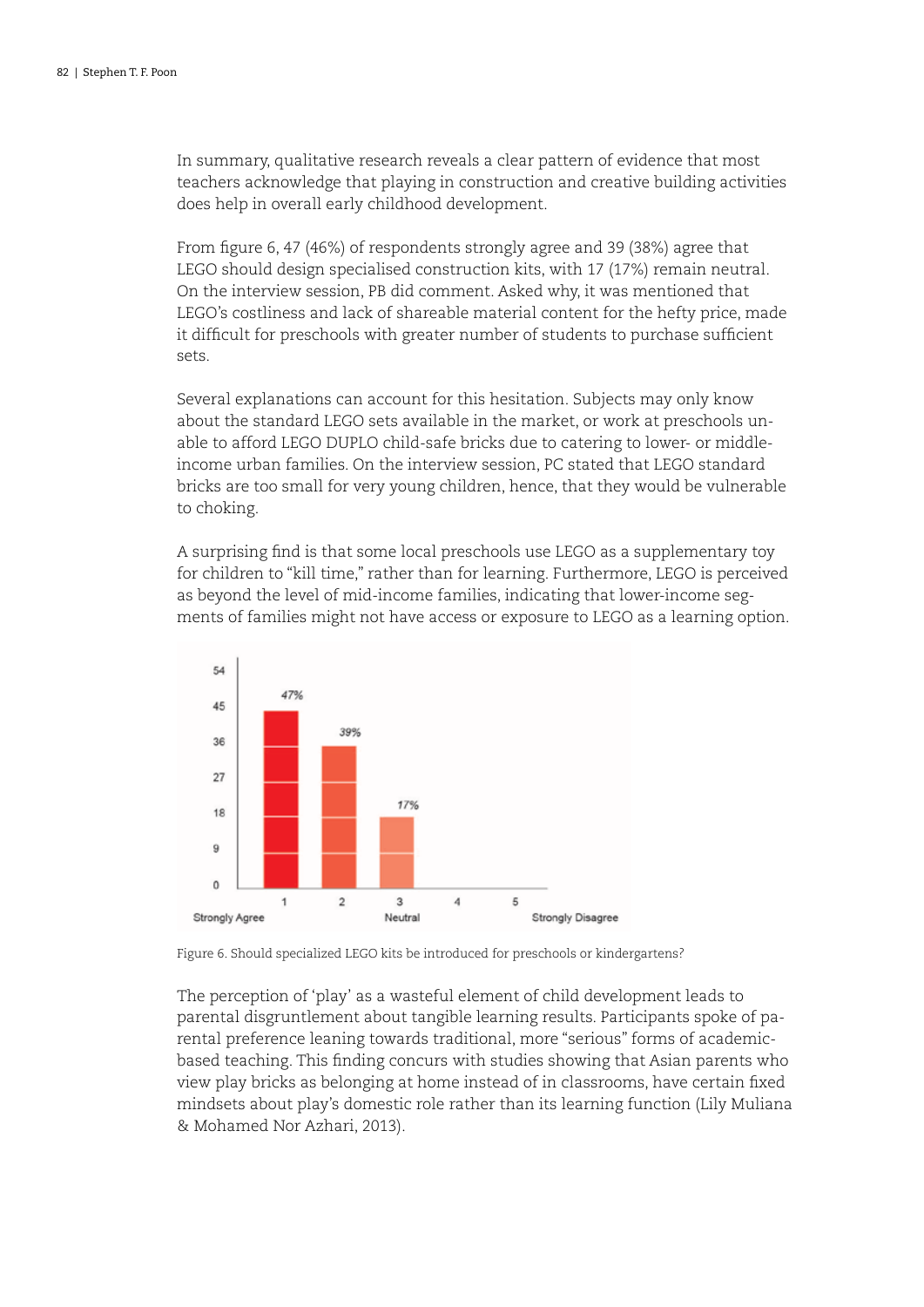In summary, qualitative research reveals a clear pattern of evidence that most teachers acknowledge that playing in construction and creative building activities does help in overall early childhood development.

From figure 6, 47 (46%) of respondents strongly agree and 39 (38%) agree that LEGO should design specialised construction kits, with 17 (17%) remain neutral. On the interview session, PB did comment. Asked why, it was mentioned that LEGO's costliness and lack of shareable material content for the hefty price, made it difficult for preschools with greater number of students to purchase sufficient sets.

Several explanations can account for this hesitation. Subjects may only know about the standard LEGO sets available in the market, or work at preschools unable to afford LEGO DUPLO child-safe bricks due to catering to lower- or middleincome urban families. On the interview session, PC stated that LEGO standard bricks are too small for very young children, hence, that they would be vulnerable to choking.

A surprising find is that some local preschools use LEGO as a supplementary toy for children to "kill time," rather than for learning. Furthermore, LEGO is perceived as beyond the level of mid-income families, indicating that lower-income segments of families might not have access or exposure to LEGO as a learning option.



Figure 6. Should specialized LEGO kits be introduced for preschools or kindergartens?

The perception of 'play' as a wasteful element of child development leads to parental disgruntlement about tangible learning results. Participants spoke of parental preference leaning towards traditional, more "serious" forms of academicbased teaching. This finding concurs with studies showing that Asian parents who view play bricks as belonging at home instead of in classrooms, have certain fixed mindsets about play's domestic role rather than its learning function (Lily Muliana & Mohamed Nor Azhari, 2013).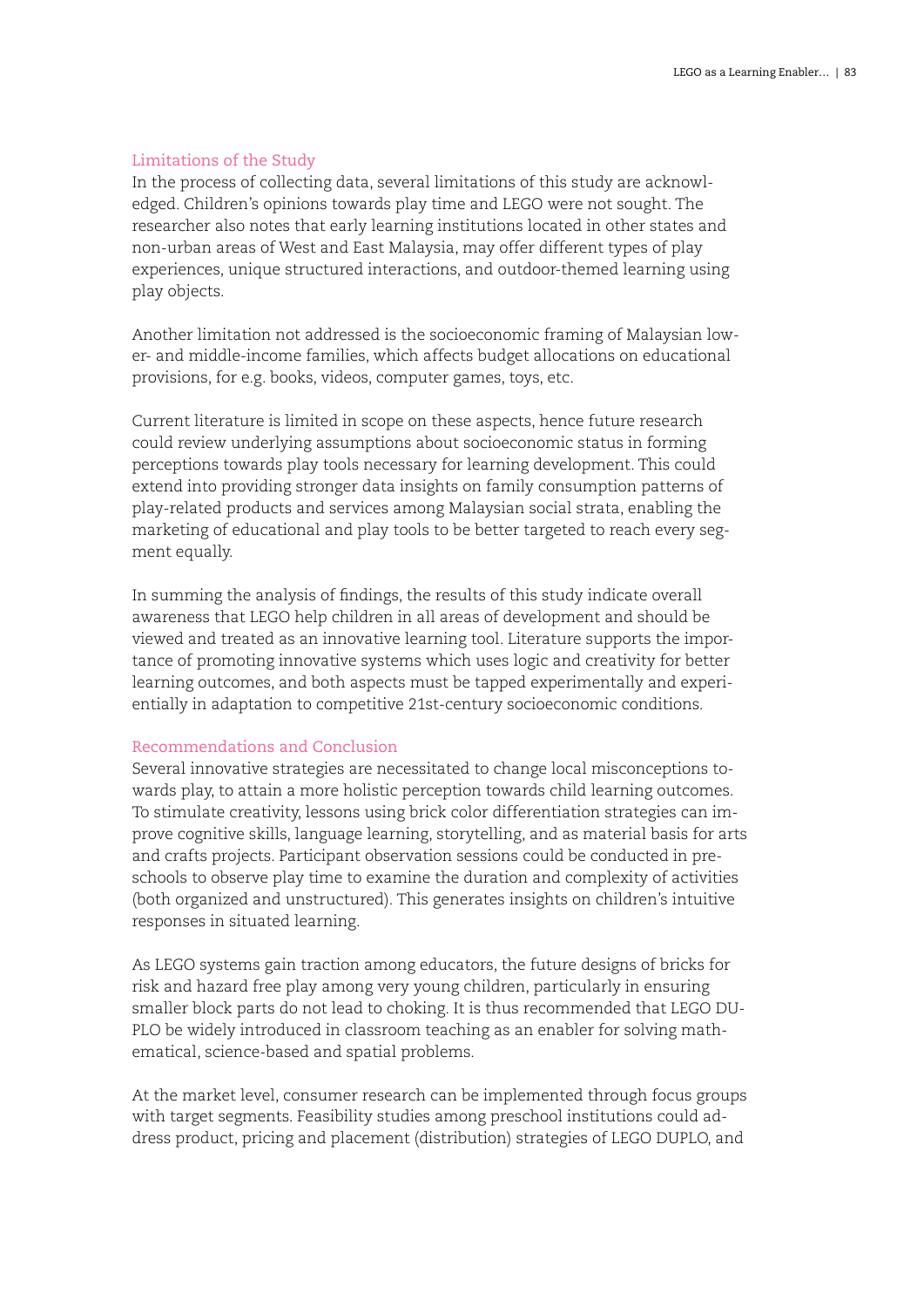# Limitations of the Study

In the process of collecting data, several limitations of this study are acknowledged. Children's opinions towards play time and LEGO were not sought. The researcher also notes that early learning institutions located in other states and non-urban areas of West and East Malaysia, may offer different types of play experiences, unique structured interactions, and outdoor-themed learning using play objects.

Another limitation not addressed is the socioeconomic framing of Malaysian lower- and middle-income families, which affects budget allocations on educational provisions, for e.g. books, videos, computer games, toys, etc.

Current literature is limited in scope on these aspects, hence future research could review underlying assumptions about socioeconomic status in forming perceptions towards play tools necessary for learning development. This could extend into providing stronger data insights on family consumption patterns of play-related products and services among Malaysian social strata, enabling the marketing of educational and play tools to be better targeted to reach every segment equally.

In summing the analysis of findings, the results of this study indicate overall awareness that LEGO help children in all areas of development and should be viewed and treated as an innovative learning tool. Literature supports the importance of promoting innovative systems which uses logic and creativity for better learning outcomes, and both aspects must be tapped experimentally and experientially in adaptation to competitive 21st-century socioeconomic conditions.

# Recommendations and Conclusion

Several innovative strategies are necessitated to change local misconceptions towards play, to attain a more holistic perception towards child learning outcomes. To stimulate creativity, lessons using brick color differentiation strategies can improve cognitive skills, language learning, storytelling, and as material basis for arts and crafts projects. Participant observation sessions could be conducted in preschools to observe play time to examine the duration and complexity of activities (both organized and unstructured). This generates insights on children's intuitive responses in situated learning.

As LEGO systems gain traction among educators, the future designs of bricks for risk and hazard free play among very young children, particularly in ensuring smaller block parts do not lead to choking. It is thus recommended that LEGO DU-PLO be widely introduced in classroom teaching as an enabler for solving mathematical, science-based and spatial problems.

At the market level, consumer research can be implemented through focus groups with target segments. Feasibility studies among preschool institutions could address product, pricing and placement (distribution) strategies of LEGO DUPLO, and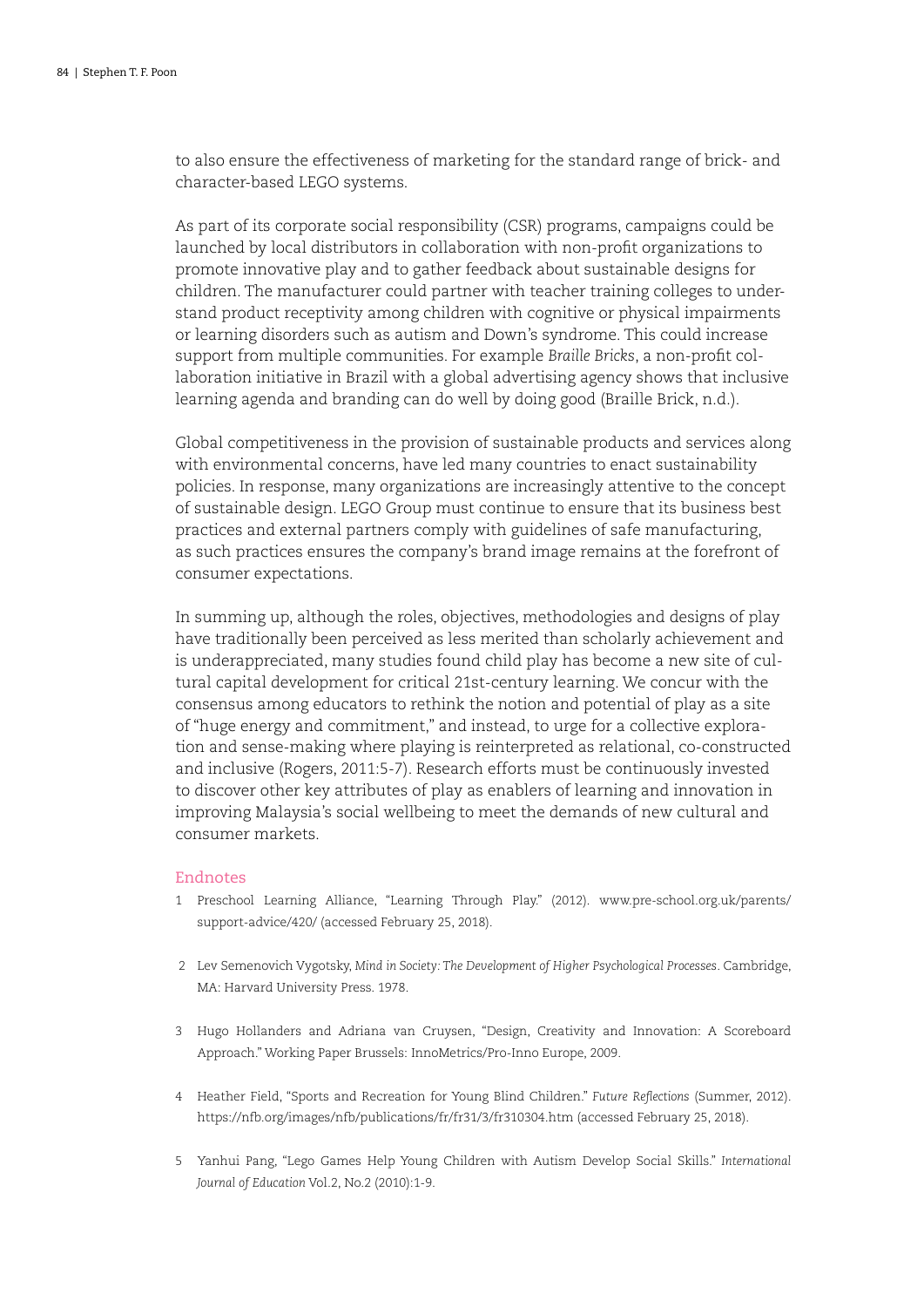to also ensure the effectiveness of marketing for the standard range of brick- and character-based LEGO systems.

As part of its corporate social responsibility (CSR) programs, campaigns could be launched by local distributors in collaboration with non-profit organizations to promote innovative play and to gather feedback about sustainable designs for children. The manufacturer could partner with teacher training colleges to understand product receptivity among children with cognitive or physical impairments or learning disorders such as autism and Down's syndrome. This could increase support from multiple communities. For example *Braille Bricks*, a non-profit collaboration initiative in Brazil with a global advertising agency shows that inclusive learning agenda and branding can do well by doing good (Braille Brick, n.d.).

Global competitiveness in the provision of sustainable products and services along with environmental concerns, have led many countries to enact sustainability policies. In response, many organizations are increasingly attentive to the concept of sustainable design. LEGO Group must continue to ensure that its business best practices and external partners comply with guidelines of safe manufacturing, as such practices ensures the company's brand image remains at the forefront of consumer expectations.

In summing up, although the roles, objectives, methodologies and designs of play have traditionally been perceived as less merited than scholarly achievement and is underappreciated, many studies found child play has become a new site of cultural capital development for critical 21st-century learning. We concur with the consensus among educators to rethink the notion and potential of play as a site of "huge energy and commitment," and instead, to urge for a collective exploration and sense-making where playing is reinterpreted as relational, co-constructed and inclusive (Rogers, 2011:5-7). Research efforts must be continuously invested to discover other key attributes of play as enablers of learning and innovation in improving Malaysia's social wellbeing to meet the demands of new cultural and consumer markets.

### Endnotes

- 1 Preschool Learning Alliance, "Learning Through Play." (2012). www.pre-school.org.uk/parents/ support-advice/420/ (accessed February 25, 2018).
- 2 Lev Semenovich Vygotsky, *Mind in Society: The Development of Higher Psychological Processes*. Cambridge, MA: Harvard University Press. 1978.
- 3 Hugo Hollanders and Adriana van Cruysen, "Design, Creativity and Innovation: A Scoreboard Approach." Working Paper Brussels: InnoMetrics/Pro-Inno Europe, 2009.
- 4 Heather Field, "Sports and Recreation for Young Blind Children." *Future Reflections* (Summer, 2012). https://nfb.org/images/nfb/publications/fr/fr31/3/fr310304.htm (accessed February 25, 2018).
- 5 Yanhui Pang, "Lego Games Help Young Children with Autism Develop Social Skills." *International Journal of Education* Vol.2, No.2 (2010):1-9.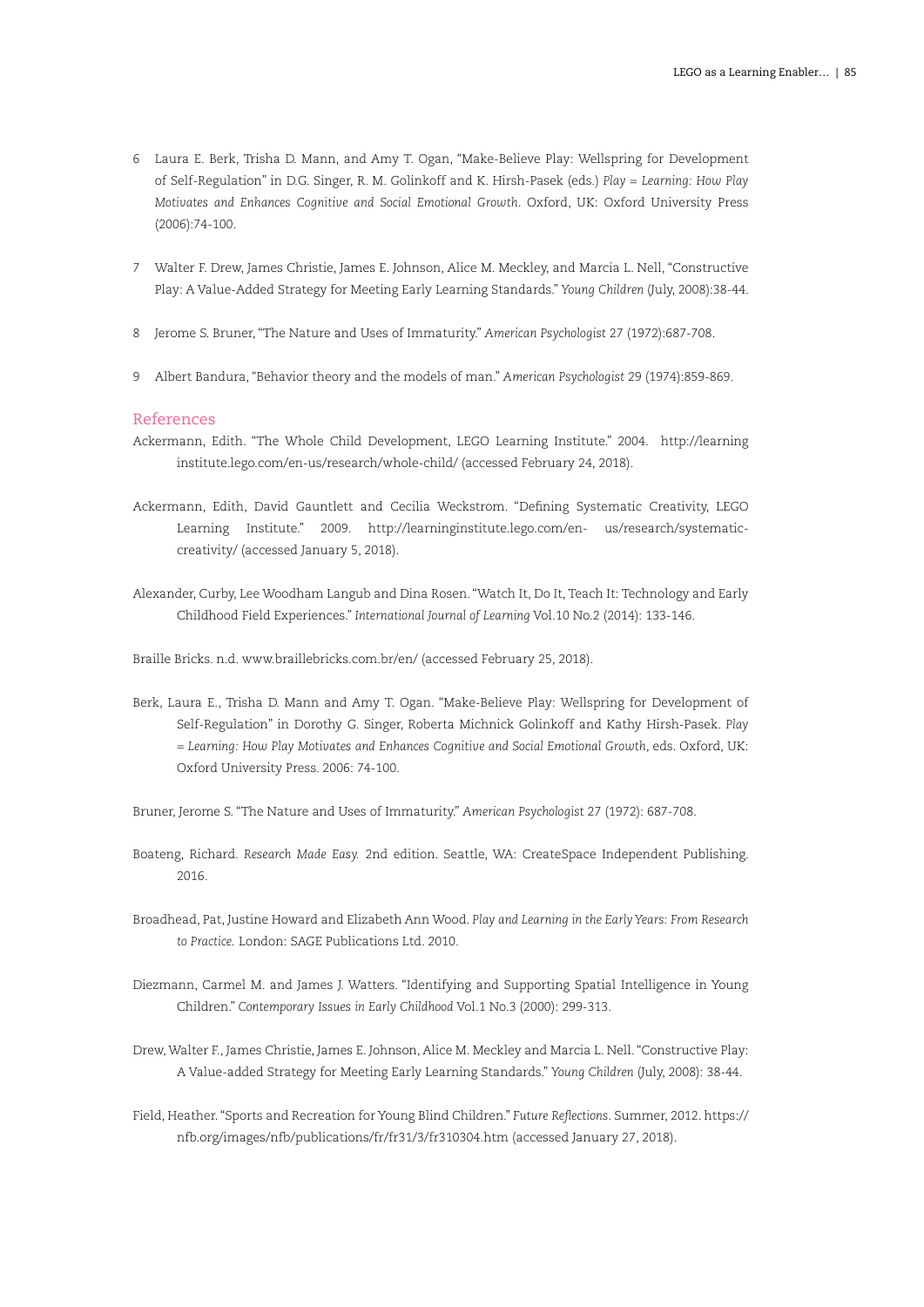- 6 Laura E. Berk, Trisha D. Mann, and Amy T. Ogan, "Make-Believe Play: Wellspring for Development of Self-Regulation" in D.G. Singer, R. M. Golinkoff and K. Hirsh-Pasek (eds.) *Play = Learning: How Play Motivates and Enhances Cognitive and Social Emotional Growth*. Oxford, UK: Oxford University Press (2006):74-100.
- 7 Walter F. Drew, James Christie, James E. Johnson, Alice M. Meckley, and Marcia L. Nell, "Constructive Play: A Value-Added Strategy for Meeting Early Learning Standards." *Young Children* (July, 2008):38-44.
- 8 Jerome S. Bruner, "The Nature and Uses of Immaturity." *American Psychologist* 27 (1972):687-708.
- 9 Albert Bandura, "Behavior theory and the models of man." *American Psychologist* 29 (1974):859-869.

### References

- Ackermann, Edith. "The Whole Child Development, LEGO Learning Institute." 2004. http://learning institute.lego.com/en-us/research/whole-child/ (accessed February 24, 2018).
- Ackermann, Edith, David Gauntlett and Cecilia Weckstrom. "Defining Systematic Creativity, LEGO Learning Institute." 2009. http://learninginstitute.lego.com/en- us/research/systematiccreativity/ (accessed January 5, 2018).
- Alexander, Curby, Lee Woodham Langub and Dina Rosen. "Watch It, Do It, Teach It: Technology and Early Childhood Field Experiences." *International Journal of Learning* Vol.10 No.2 (2014): 133-146.

Braille Bricks. n.d. www.braillebricks.com.br/en/ (accessed February 25, 2018).

- Berk, Laura E., Trisha D. Mann and Amy T. Ogan. "Make-Believe Play: Wellspring for Development of Self-Regulation" in Dorothy G. Singer, Roberta Michnick Golinkoff and Kathy Hirsh-Pasek. *Play = Learning: How Play Motivates and Enhances Cognitive and Social Emotional Growth*, eds. Oxford, UK: Oxford University Press. 2006: 74-100.
- Bruner, Jerome S. "The Nature and Uses of Immaturity." *American Psychologist* 27 (1972): 687-708.
- Boateng, Richard. *Research Made Easy.* 2nd edition. Seattle, WA: CreateSpace Independent Publishing. 2016.
- Broadhead, Pat, Justine Howard and Elizabeth Ann Wood. *Play and Learning in the Early Years: From Research to Practice.* London: SAGE Publications Ltd. 2010.
- Diezmann, Carmel M. and James J. Watters. "Identifying and Supporting Spatial Intelligence in Young Children." *Contemporary Issues in Early Childhood* Vol.1 No.3 (2000): 299-313.
- Drew, Walter F., James Christie, James E. Johnson, Alice M. Meckley and Marcia L. Nell. "Constructive Play: A Value-added Strategy for Meeting Early Learning Standards." *Young Children* (July, 2008): 38-44.
- Field, Heather. "Sports and Recreation for Young Blind Children." *Future Reflections*. Summer, 2012. https:// nfb.org/images/nfb/publications/fr/fr31/3/fr310304.htm (accessed January 27, 2018).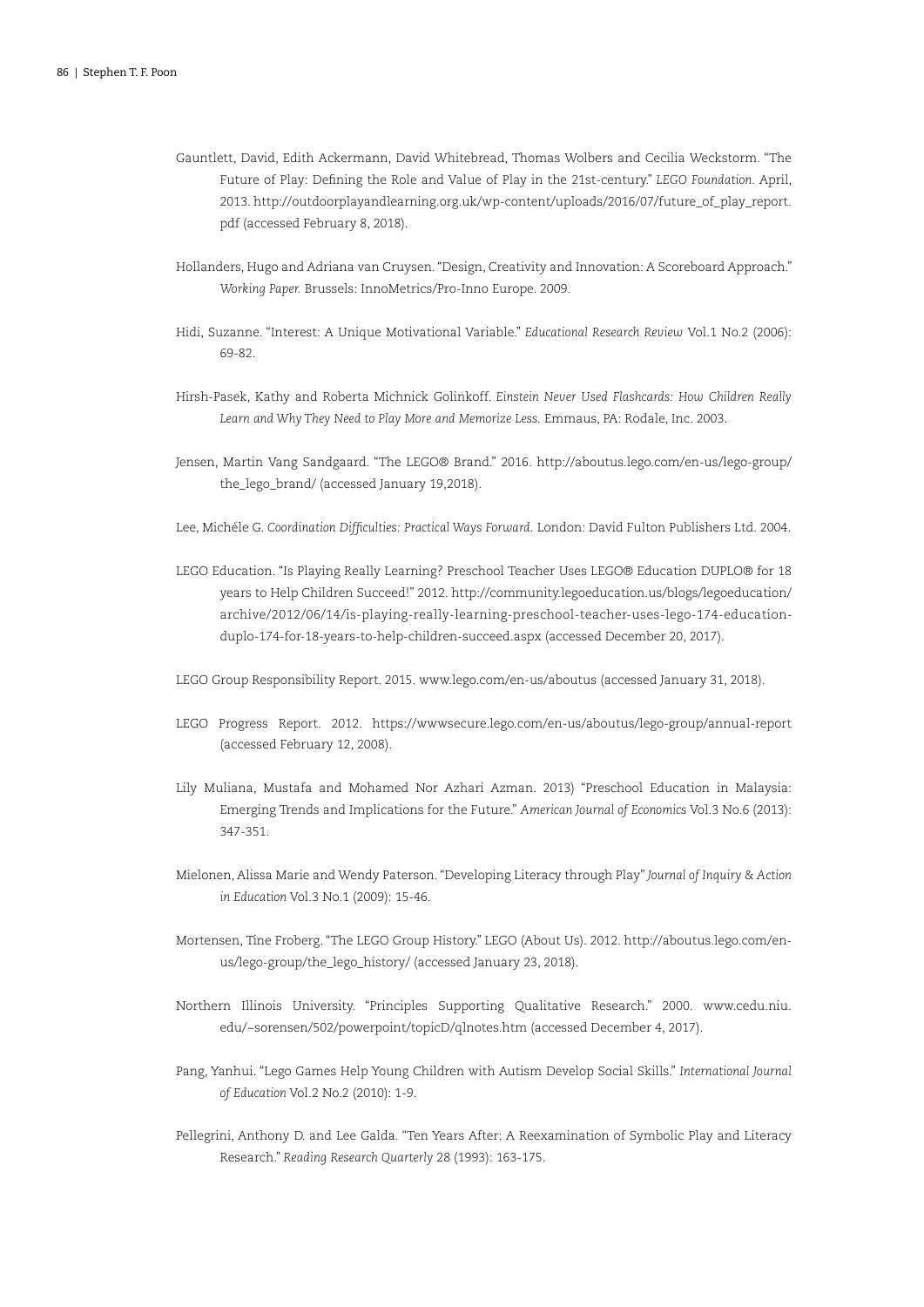- Gauntlett, David, Edith Ackermann, David Whitebread, Thomas Wolbers and Cecilia Weckstorm. "The Future of Play: Defining the Role and Value of Play in the 21st-century." *LEGO Foundation.* April, 2013. http://outdoorplayandlearning.org.uk/wp-content/uploads/2016/07/future\_of\_play\_report. pdf (accessed February 8, 2018).
- Hollanders, Hugo and Adriana van Cruysen. "Design, Creativity and Innovation: A Scoreboard Approach." *Working Paper.* Brussels: InnoMetrics/Pro-Inno Europe. 2009.
- Hidi, Suzanne. "Interest: A Unique Motivational Variable." *Educational Research Review* Vol.1 No.2 (2006): 69-82.
- Hirsh-Pasek, Kathy and Roberta Michnick Golinkoff. *Einstein Never Used Flashcards: How Children Really Learn and Why They Need to Play More and Memorize Less.* Emmaus, PA: Rodale, Inc. 2003.
- Jensen, Martin Vang Sandgaard. "The LEGO® Brand." 2016. http://aboutus.lego.com/en-us/lego-group/ the\_lego\_brand/ (accessed January 19,2018).
- Lee, Michéle G. *Coordination Difficulties: Practical Ways Forward.* London: David Fulton Publishers Ltd. 2004.
- LEGO Education. "Is Playing Really Learning? Preschool Teacher Uses LEGO® Education DUPLO® for 18 years to Help Children Succeed!" 2012. http://community.legoeducation.us/blogs/legoeducation/ archive/2012/06/14/is-playing-really-learning-preschool-teacher-uses-lego-174-educationduplo-174-for-18-years-to-help-children-succeed.aspx (accessed December 20, 2017).
- LEGO Group Responsibility Report. 2015. www.lego.com/en-us/aboutus (accessed January 31, 2018).
- LEGO Progress Report. 2012. https://wwwsecure.lego.com/en-us/aboutus/lego-group/annual-report (accessed February 12, 2008).
- Lily Muliana, Mustafa and Mohamed Nor Azhari Azman. 2013) "Preschool Education in Malaysia: Emerging Trends and Implications for the Future." *American Journal of Economics* Vol.3 No.6 (2013): 347-351.
- Mielonen, Alissa Marie and Wendy Paterson. "Developing Literacy through Play" *Journal of Inquiry & Action in Education* Vol.3 No.1 (2009): 15-46.
- Mortensen, Tine Froberg. "The LEGO Group History." LEGO (About Us). 2012. http://aboutus.lego.com/enus/lego-group/the\_lego\_history/ (accessed January 23, 2018).
- Northern Illinois University. "Principles Supporting Qualitative Research." 2000. www.cedu.niu. edu/~sorensen/502/powerpoint/topicD/qlnotes.htm (accessed December 4, 2017).
- Pang, Yanhui. "Lego Games Help Young Children with Autism Develop Social Skills." *International Journal of Education* Vol.2 No.2 (2010): 1-9.
- Pellegrini, Anthony D. and Lee Galda. "Ten Years After: A Reexamination of Symbolic Play and Literacy Research." *Reading Research Quarterly* 28 (1993): 163-175.